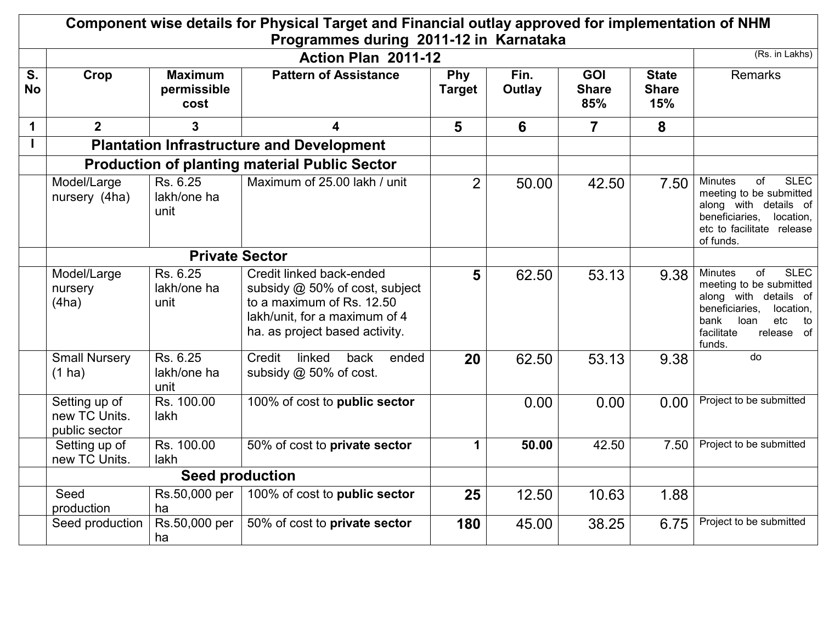| Component wise details for Physical Target and Financial outlay approved for implementation of NHM |                                                      |                                       |                                                                                                                                                            |                      |                |                                   |                                     |                                                                                                                                                                                                        |
|----------------------------------------------------------------------------------------------------|------------------------------------------------------|---------------------------------------|------------------------------------------------------------------------------------------------------------------------------------------------------------|----------------------|----------------|-----------------------------------|-------------------------------------|--------------------------------------------------------------------------------------------------------------------------------------------------------------------------------------------------------|
|                                                                                                    |                                                      |                                       | Programmes during 2011-12 in Karnataka                                                                                                                     |                      |                |                                   |                                     |                                                                                                                                                                                                        |
|                                                                                                    |                                                      |                                       | Action Plan 2011-12                                                                                                                                        |                      |                |                                   |                                     | (Rs. in Lakhs)                                                                                                                                                                                         |
| S.<br><b>No</b>                                                                                    | Crop                                                 | <b>Maximum</b><br>permissible<br>cost | <b>Pattern of Assistance</b>                                                                                                                               | Phy<br><b>Target</b> | Fin.<br>Outlay | <b>GOI</b><br><b>Share</b><br>85% | <b>State</b><br><b>Share</b><br>15% | <b>Remarks</b>                                                                                                                                                                                         |
| $\mathbf 1$                                                                                        | $\overline{2}$                                       | 3                                     | 4                                                                                                                                                          | 5                    | 6              | $\overline{7}$                    | 8                                   |                                                                                                                                                                                                        |
| $\mathbf{I}$                                                                                       | <b>Plantation Infrastructure and Development</b>     |                                       |                                                                                                                                                            |                      |                |                                   |                                     |                                                                                                                                                                                                        |
|                                                                                                    | <b>Production of planting material Public Sector</b> |                                       |                                                                                                                                                            |                      |                |                                   |                                     |                                                                                                                                                                                                        |
|                                                                                                    | Model/Large<br>nursery (4ha)                         | Rs. 6.25<br>lakh/one ha<br>unit       | Maximum of 25.00 lakh / unit                                                                                                                               | $\overline{2}$       | 50.00          | 42.50                             | 7.50                                | <b>SLEC</b><br><b>Minutes</b><br>οf<br>meeting to be submitted<br>along with details of<br>beneficiaries, location,<br>etc to facilitate release<br>of funds.                                          |
|                                                                                                    | <b>Private Sector</b>                                |                                       |                                                                                                                                                            |                      |                |                                   |                                     |                                                                                                                                                                                                        |
|                                                                                                    | Model/Large<br>nursery<br>(4ha)                      | Rs. 6.25<br>lakh/one ha<br>unit       | Credit linked back-ended<br>subsidy @ 50% of cost, subject<br>to a maximum of Rs. 12.50<br>lakh/unit, for a maximum of 4<br>ha. as project based activity. | 5                    | 62.50          | 53.13                             | 9.38                                | <b>SLEC</b><br><b>Minutes</b><br>$\overline{of}$<br>meeting to be submitted<br>along with details of<br>beneficiaries,<br>location,<br>etc<br>bank<br>loan<br>to<br>facilitate<br>release of<br>funds. |
|                                                                                                    | <b>Small Nursery</b><br>$(1)$ ha)                    | Rs. 6.25<br>lakh/one ha<br>unit       | Credit<br>linked<br>back<br>ended<br>subsidy @ 50% of cost.                                                                                                | 20                   | 62.50          | 53.13                             | 9.38                                | $\overline{d}$                                                                                                                                                                                         |
|                                                                                                    | Setting up of<br>new TC Units.<br>public sector      | Rs. 100.00<br>lakh                    | 100% of cost to public sector                                                                                                                              |                      | 0.00           | 0.00                              | 0.00                                | Project to be submitted                                                                                                                                                                                |
|                                                                                                    | Setting up of<br>new TC Units.                       | Rs. 100.00<br>lakh                    | 50% of cost to private sector                                                                                                                              | 1                    | 50.00          | 42.50                             | 7.50                                | Project to be submitted                                                                                                                                                                                |
|                                                                                                    |                                                      |                                       |                                                                                                                                                            |                      |                |                                   |                                     |                                                                                                                                                                                                        |
|                                                                                                    | Seed<br>production                                   | Rs.50,000 per  <br>ha                 | 100% of cost to public sector                                                                                                                              | 25                   | 12.50          | 10.63                             | 1.88                                |                                                                                                                                                                                                        |
|                                                                                                    | Seed production                                      | Rs.50,000 per  <br>ha                 | 50% of cost to private sector                                                                                                                              | 180                  | 45.00          | 38.25                             | 6.75                                | Project to be submitted                                                                                                                                                                                |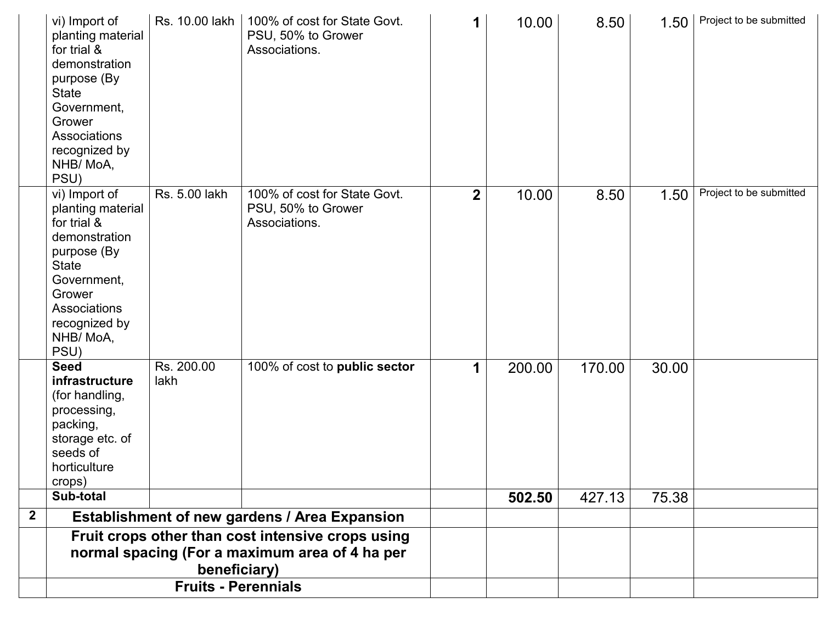|              | vi) Import of<br>planting material<br>for trial &<br>demonstration<br>purpose (By<br><b>State</b><br>Government,<br>Grower<br>Associations<br>recognized by<br>NHB/MoA,<br>PSU) | Rs. 10.00 lakh     | 100% of cost for State Govt.<br>PSU, 50% to Grower<br>Associations. | 1              | 10.00  | 8.50   | 1.50  | Project to be submitted |
|--------------|---------------------------------------------------------------------------------------------------------------------------------------------------------------------------------|--------------------|---------------------------------------------------------------------|----------------|--------|--------|-------|-------------------------|
|              | vi) Import of<br>planting material<br>for trial &<br>demonstration<br>purpose (By<br><b>State</b><br>Government,<br>Grower<br>Associations<br>recognized by<br>NHB/MoA,<br>PSU) | Rs. 5.00 lakh      | 100% of cost for State Govt.<br>PSU, 50% to Grower<br>Associations. | $\overline{2}$ | 10.00  | 8.50   | 1.50  | Project to be submitted |
|              | <b>Seed</b><br>infrastructure<br>(for handling,<br>processing,<br>packing,<br>storage etc. of<br>seeds of<br>horticulture<br>crops)                                             | Rs. 200.00<br>lakh | 100% of cost to public sector                                       | 1              | 200.00 | 170.00 | 30.00 |                         |
|              | Sub-total                                                                                                                                                                       |                    |                                                                     |                | 502.50 | 427.13 | 75.38 |                         |
| $\mathbf{2}$ |                                                                                                                                                                                 |                    | Establishment of new gardens / Area Expansion                       |                |        |        |       |                         |
|              | Fruit crops other than cost intensive crops using<br>normal spacing (For a maximum area of 4 ha per<br>beneficiary)<br><b>Fruits - Perennials</b>                               |                    |                                                                     |                |        |        |       |                         |
|              |                                                                                                                                                                                 |                    |                                                                     |                |        |        |       |                         |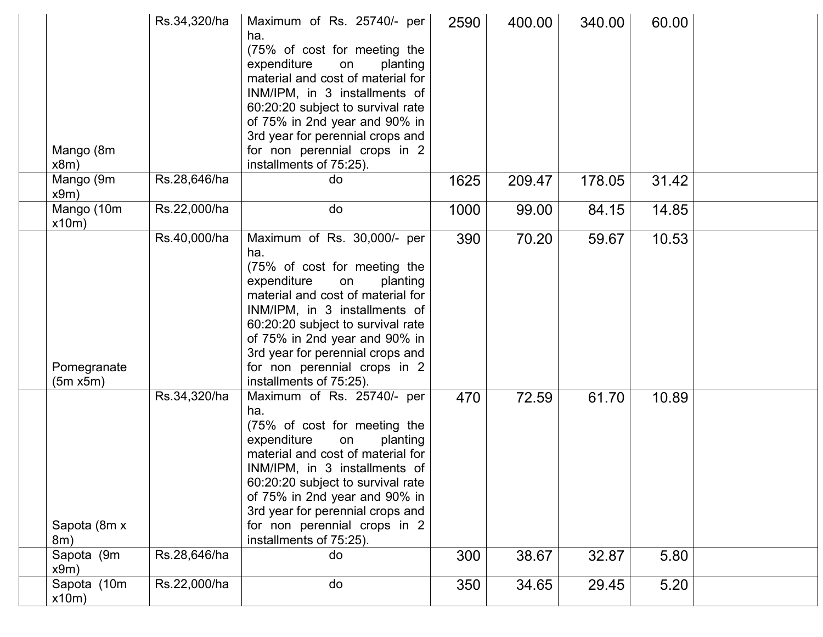| Mango (8m<br>x8m)       | Rs.34,320/ha | Maximum of Rs. 25740/- per<br>ha.<br>(75% of cost for meeting the<br>expenditure<br>on<br>planting<br>material and cost of material for<br>INM/IPM, in 3 installments of<br>60:20:20 subject to survival rate<br>of 75% in 2nd year and 90% in<br>3rd year for perennial crops and<br>for non perennial crops in 2<br>installments of 75:25).  | 2590 | 400.00 | 340.00 | 60.00 |  |
|-------------------------|--------------|------------------------------------------------------------------------------------------------------------------------------------------------------------------------------------------------------------------------------------------------------------------------------------------------------------------------------------------------|------|--------|--------|-------|--|
| Mango (9m<br>x9m)       | Rs.28,646/ha | do                                                                                                                                                                                                                                                                                                                                             | 1625 | 209.47 | 178.05 | 31.42 |  |
| Mango (10m<br>x10m)     | Rs.22,000/ha | do                                                                                                                                                                                                                                                                                                                                             | 1000 | 99.00  | 84.15  | 14.85 |  |
| Pomegranate<br>(5m x5m) | Rs.40,000/ha | Maximum of Rs. 30,000/- per<br>ha.<br>(75% of cost for meeting the<br>expenditure<br>planting<br>on<br>material and cost of material for<br>INM/IPM, in 3 installments of<br>60:20:20 subject to survival rate<br>of 75% in 2nd year and 90% in<br>3rd year for perennial crops and<br>for non perennial crops in 2<br>installments of 75:25). | 390  | 70.20  | 59.67  | 10.53 |  |
| Sapota (8m x<br>8m)     | Rs.34,320/ha | Maximum of Rs. 25740/- per<br>ha.<br>(75% of cost for meeting the<br>expenditure<br>on<br>planting<br>material and cost of material for<br>INM/IPM, in 3 installments of<br>60:20:20 subject to survival rate<br>of 75% in 2nd year and 90% in<br>3rd year for perennial crops and<br>for non perennial crops in 2<br>installments of 75.25).  | 470  | 72.59  | 61.70  | 10.89 |  |
| Sapota (9m<br>x9m)      | Rs.28,646/ha | do                                                                                                                                                                                                                                                                                                                                             | 300  | 38.67  | 32.87  | 5.80  |  |
| Sapota (10m<br>x10m)    | Rs.22,000/ha | do                                                                                                                                                                                                                                                                                                                                             | 350  | 34.65  | 29.45  | 5.20  |  |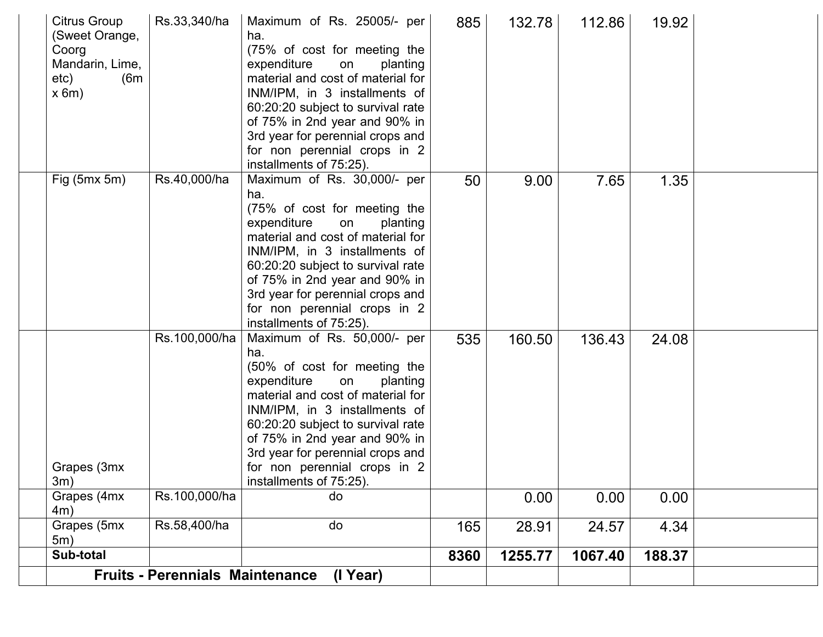|                                                                                    | <b>Fruits - Perennials Maintenance</b> | (I Year)                                                                                                                                                                                                                                                                                                                                       |      |         |         |        |  |
|------------------------------------------------------------------------------------|----------------------------------------|------------------------------------------------------------------------------------------------------------------------------------------------------------------------------------------------------------------------------------------------------------------------------------------------------------------------------------------------|------|---------|---------|--------|--|
| Sub-total                                                                          |                                        |                                                                                                                                                                                                                                                                                                                                                | 8360 | 1255.77 | 1067.40 | 188.37 |  |
| Grapes (5mx<br>5m)                                                                 | Rs.58,400/ha                           | do                                                                                                                                                                                                                                                                                                                                             | 165  | 28.91   | 24.57   | 4.34   |  |
| Grapes (4mx<br>4m)                                                                 | Rs.100,000/ha                          | do                                                                                                                                                                                                                                                                                                                                             |      | 0.00    | 0.00    | 0.00   |  |
| Grapes (3mx<br>3m)                                                                 | Rs.100,000/ha                          | Maximum of Rs. 50,000/- per<br>ha.<br>(50% of cost for meeting the<br>expenditure<br>planting<br>on<br>material and cost of material for<br>INM/IPM, in 3 installments of<br>60:20:20 subject to survival rate<br>of 75% in 2nd year and 90% in<br>3rd year for perennial crops and<br>for non perennial crops in 2<br>installments of 75:25). | 535  | 160.50  | 136.43  | 24.08  |  |
| Fig $(5mx 5m)$                                                                     | Rs.40,000/ha                           | Maximum of Rs. 30,000/- per<br>ha.<br>(75% of cost for meeting the<br>expenditure<br>on<br>planting<br>material and cost of material for<br>INM/IPM, in 3 installments of<br>60:20:20 subject to survival rate<br>of 75% in 2nd year and 90% in<br>3rd year for perennial crops and<br>for non perennial crops in 2<br>installments of 75:25). | 50   | 9.00    | 7.65    | 1.35   |  |
| Citrus Group<br>(Sweet Orange,<br>Coorg<br>Mandarin, Lime,<br>etc)<br>(6m)<br>x 6m | Rs.33,340/ha                           | Maximum of Rs. 25005/- per<br>ha.<br>(75% of cost for meeting the<br>expenditure<br>planting<br>on<br>material and cost of material for<br>INM/IPM, in 3 installments of<br>60:20:20 subject to survival rate<br>of 75% in 2nd year and 90% in<br>3rd year for perennial crops and<br>for non perennial crops in 2<br>installments of 75:25).  | 885  | 132.78  | 112.86  | 19.92  |  |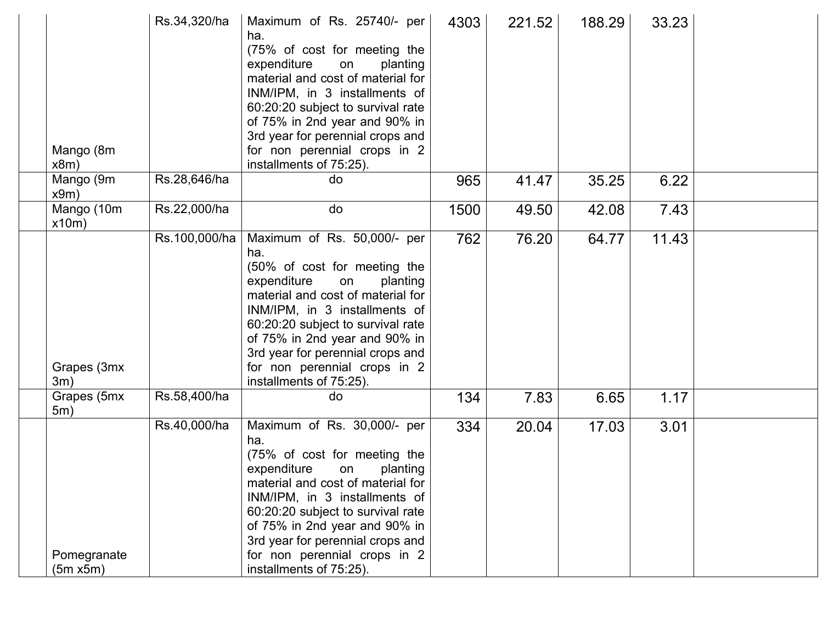| Mango (8m<br>x8m)       | Rs.34,320/ha  | Maximum of Rs. 25740/- per<br>ha.<br>(75% of cost for meeting the<br>expenditure<br>planting<br>on<br>material and cost of material for<br>INM/IPM, in 3 installments of<br>60:20:20 subject to survival rate<br>of 75% in 2nd year and 90% in<br>3rd year for perennial crops and<br>for non perennial crops in 2<br>installments of 75:25).  | 4303 | 221.52 | 188.29 | 33.23 |  |
|-------------------------|---------------|------------------------------------------------------------------------------------------------------------------------------------------------------------------------------------------------------------------------------------------------------------------------------------------------------------------------------------------------|------|--------|--------|-------|--|
| Mango (9m<br>x9m)       | Rs.28,646/ha  | do                                                                                                                                                                                                                                                                                                                                             | 965  | 41.47  | 35.25  | 6.22  |  |
| Mango (10m<br>x10m)     | Rs.22,000/ha  | do                                                                                                                                                                                                                                                                                                                                             | 1500 | 49.50  | 42.08  | 7.43  |  |
| Grapes (3mx<br>3m)      | Rs.100,000/ha | Maximum of Rs. 50,000/- per<br>ha.<br>(50% of cost for meeting the<br>expenditure<br>planting<br>on<br>material and cost of material for<br>INM/IPM, in 3 installments of<br>60:20:20 subject to survival rate<br>of 75% in 2nd year and 90% in<br>3rd year for perennial crops and<br>for non perennial crops in 2<br>installments of 75:25). | 762  | 76.20  | 64.77  | 11.43 |  |
| Grapes (5mx<br>5m)      | Rs.58,400/ha  | do                                                                                                                                                                                                                                                                                                                                             | 134  | 7.83   | 6.65   | 1.17  |  |
| Pomegranate<br>(5m x5m) | Rs.40,000/ha  | Maximum of Rs. 30,000/- per<br>ha.<br>(75% of cost for meeting the<br>expenditure<br>planting<br>on<br>material and cost of material for<br>INM/IPM, in 3 installments of<br>60:20:20 subject to survival rate<br>of 75% in 2nd year and 90% in<br>3rd year for perennial crops and<br>for non perennial crops in 2<br>installments of 75:25). | 334  | 20.04  | 17.03  | 3.01  |  |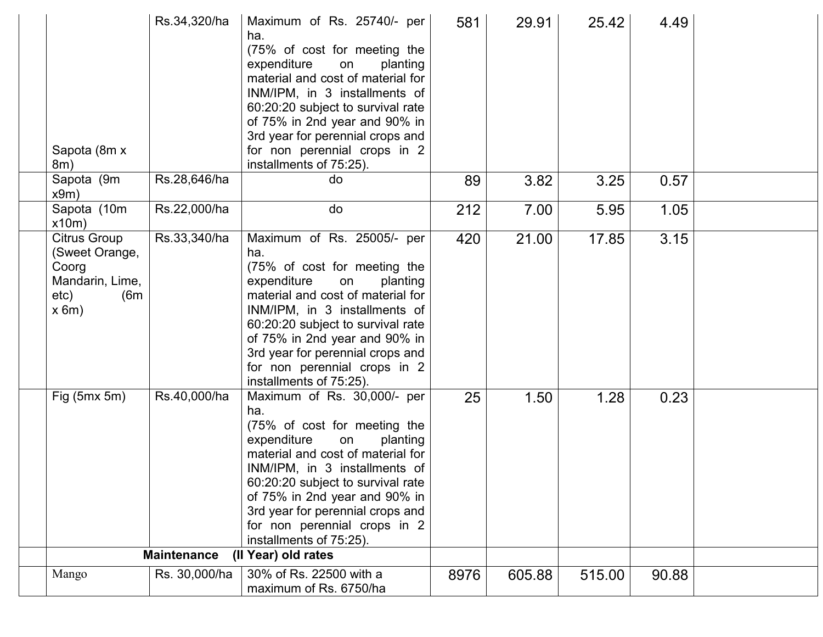| Sapota (8m x<br>8m)                                                                       | Rs.34,320/ha       | Maximum of Rs. 25740/- per<br>ha.<br>(75% of cost for meeting the<br>expenditure<br>planting<br>on<br>material and cost of material for<br>INM/IPM, in 3 installments of<br>60:20:20 subject to survival rate<br>of 75% in 2nd year and 90% in<br>3rd year for perennial crops and<br>for non perennial crops in 2<br>installments of 75:25).  | 581  | 29.91  | 25.42  | 4.49  |  |
|-------------------------------------------------------------------------------------------|--------------------|------------------------------------------------------------------------------------------------------------------------------------------------------------------------------------------------------------------------------------------------------------------------------------------------------------------------------------------------|------|--------|--------|-------|--|
| Sapota (9m<br>x9m)                                                                        | Rs.28,646/ha       | do                                                                                                                                                                                                                                                                                                                                             | 89   | 3.82   | 3.25   | 0.57  |  |
| Sapota (10m<br>x10m)                                                                      | Rs.22,000/ha       | do                                                                                                                                                                                                                                                                                                                                             | 212  | 7.00   | 5.95   | 1.05  |  |
| <b>Citrus Group</b><br>(Sweet Orange,<br>Coorg<br>Mandarin, Lime,<br>etc)<br>(6m)<br>x 6m | Rs.33,340/ha       | Maximum of Rs. 25005/- per<br>ha.<br>(75% of cost for meeting the<br>expenditure<br>planting<br>on<br>material and cost of material for<br>INM/IPM, in 3 installments of<br>60:20:20 subject to survival rate<br>of 75% in 2nd year and 90% in<br>3rd year for perennial crops and<br>for non perennial crops in 2<br>installments of 75:25).  | 420  | 21.00  | 17.85  | 3.15  |  |
| Fig $(5mx 5m)$                                                                            | Rs.40,000/ha       | Maximum of Rs. 30,000/- per<br>ha.<br>(75% of cost for meeting the<br>expenditure<br>planting<br>on<br>material and cost of material for<br>INM/IPM, in 3 installments of<br>60:20:20 subject to survival rate<br>of 75% in 2nd year and 90% in<br>3rd year for perennial crops and<br>for non perennial crops in 2<br>installments of 75:25). | 25   | 1.50   | 1.28   | 0.23  |  |
|                                                                                           | <b>Maintenance</b> | (II Year) old rates                                                                                                                                                                                                                                                                                                                            |      |        |        |       |  |
| Mango                                                                                     | Rs. 30,000/ha      | 30% of Rs. 22500 with a<br>maximum of Rs. 6750/ha                                                                                                                                                                                                                                                                                              | 8976 | 605.88 | 515.00 | 90.88 |  |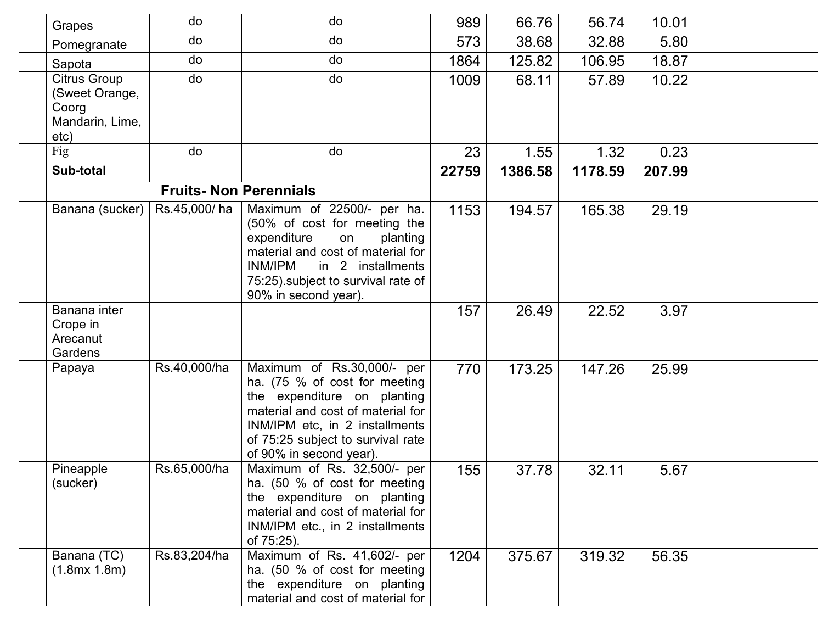| Grapes                                                     | do                           | do                                                                                                                                                                                                                                | 989   | 66.76   | 56.74   | 10.01  |  |
|------------------------------------------------------------|------------------------------|-----------------------------------------------------------------------------------------------------------------------------------------------------------------------------------------------------------------------------------|-------|---------|---------|--------|--|
| Pomegranate                                                | do                           | do                                                                                                                                                                                                                                | 573   | 38.68   | 32.88   | 5.80   |  |
| Sapota                                                     | do                           | do                                                                                                                                                                                                                                | 1864  | 125.82  | 106.95  | 18.87  |  |
| Citrus Group<br>(Sweet Orange,<br>Coorg<br>Mandarin, Lime, | do                           | do                                                                                                                                                                                                                                | 1009  | 68.11   | 57.89   | 10.22  |  |
| etc)                                                       |                              |                                                                                                                                                                                                                                   |       |         |         |        |  |
| Fig                                                        | do                           | do                                                                                                                                                                                                                                | 23    | 1.55    | 1.32    | 0.23   |  |
| Sub-total                                                  |                              |                                                                                                                                                                                                                                   | 22759 | 1386.58 | 1178.59 | 207.99 |  |
|                                                            | <b>Fruits-Non Perennials</b> |                                                                                                                                                                                                                                   |       |         |         |        |  |
| Banana (sucker)                                            | Rs.45,000/ha                 | Maximum of 22500/- per ha.<br>(50% of cost for meeting the<br>expenditure<br>planting<br>on<br>material and cost of material for<br>INM/IPM<br>in 2 installments<br>75:25) subject to survival rate of<br>90% in second year).    | 1153  | 194.57  | 165.38  | 29.19  |  |
| Banana inter<br>Crope in<br>Arecanut<br>Gardens            |                              |                                                                                                                                                                                                                                   | 157   | 26.49   | 22.52   | 3.97   |  |
| Papaya                                                     | Rs.40,000/ha                 | Maximum of Rs.30,000/- per<br>ha. (75 % of cost for meeting<br>the expenditure on planting<br>material and cost of material for<br>INM/IPM etc, in 2 installments<br>of 75:25 subject to survival rate<br>of 90% in second year). | 770   | 173.25  | 147.26  | 25.99  |  |
| Pineapple<br>(sucker)                                      | Rs.65,000/ha                 | Maximum of Rs. 32,500/- per<br>ha. (50 % of cost for meeting<br>the expenditure on planting<br>material and cost of material for<br>INM/IPM etc., in 2 installments<br>of 75:25).                                                 | 155   | 37.78   | 32.11   | 5.67   |  |
| Banana (TC)<br>(1.8mx 1.8m)                                | Rs.83,204/ha                 | Maximum of Rs. 41,602/- per<br>ha. (50 % of cost for meeting<br>the expenditure on planting<br>material and cost of material for                                                                                                  | 1204  | 375.67  | 319.32  | 56.35  |  |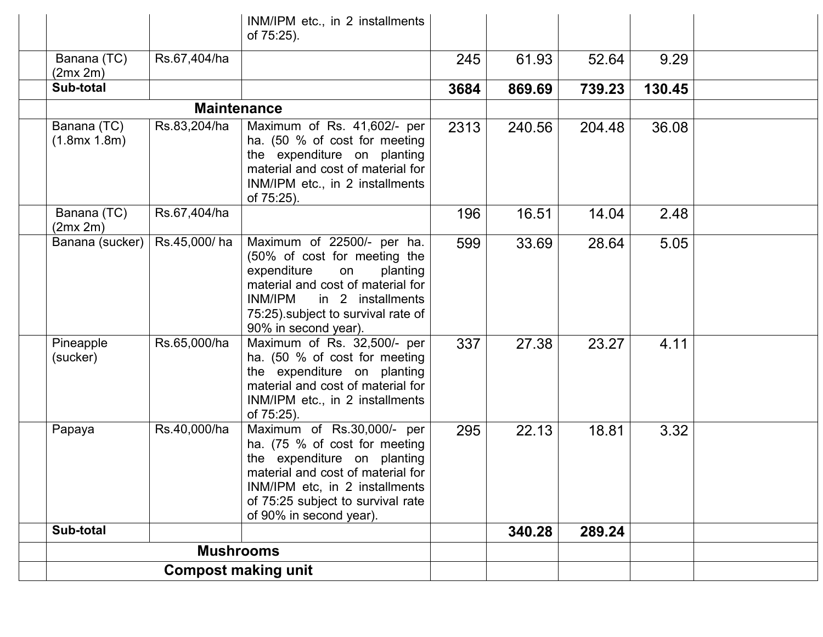|                             |                            | INM/IPM etc., in 2 installments<br>of 75:25).                                                                                                                                                                                     |      |        |        |        |  |
|-----------------------------|----------------------------|-----------------------------------------------------------------------------------------------------------------------------------------------------------------------------------------------------------------------------------|------|--------|--------|--------|--|
| Banana (TC)<br>(2mx 2m)     | Rs.67,404/ha               |                                                                                                                                                                                                                                   | 245  | 61.93  | 52.64  | 9.29   |  |
| Sub-total                   |                            |                                                                                                                                                                                                                                   | 3684 | 869.69 | 739.23 | 130.45 |  |
|                             | <b>Maintenance</b>         |                                                                                                                                                                                                                                   |      |        |        |        |  |
| Banana (TC)<br>(1.8mx 1.8m) | Rs.83,204/ha               | Maximum of Rs. 41,602/- per<br>ha. (50 % of cost for meeting<br>the expenditure on planting<br>material and cost of material for<br>INM/IPM etc., in 2 installments<br>of 75:25).                                                 | 2313 | 240.56 | 204.48 | 36.08  |  |
| Banana (TC)<br>(2mx 2m)     | Rs.67,404/ha               |                                                                                                                                                                                                                                   | 196  | 16.51  | 14.04  | 2.48   |  |
| Banana (sucker)             | Rs.45,000/ha               | Maximum of 22500/- per ha.<br>(50% of cost for meeting the<br>expenditure<br>on<br>planting<br>material and cost of material for<br>INM/IPM<br>in 2 installments<br>75:25) subject to survival rate of<br>90% in second year).    | 599  | 33.69  | 28.64  | 5.05   |  |
| Pineapple<br>(sucker)       | Rs.65,000/ha               | Maximum of Rs. 32,500/- per<br>ha. (50 % of cost for meeting<br>the expenditure on planting<br>material and cost of material for<br>INM/IPM etc., in 2 installments<br>of 75:25).                                                 | 337  | 27.38  | 23.27  | 4.11   |  |
| Papaya                      | Rs.40,000/ha               | Maximum of Rs.30,000/- per<br>ha. (75 % of cost for meeting<br>the expenditure on planting<br>material and cost of material for<br>INM/IPM etc, in 2 installments<br>of 75:25 subject to survival rate<br>of 90% in second year). | 295  | 22.13  | 18.81  | 3.32   |  |
| Sub-total                   |                            |                                                                                                                                                                                                                                   |      | 340.28 | 289.24 |        |  |
|                             | <b>Mushrooms</b>           |                                                                                                                                                                                                                                   |      |        |        |        |  |
|                             | <b>Compost making unit</b> |                                                                                                                                                                                                                                   |      |        |        |        |  |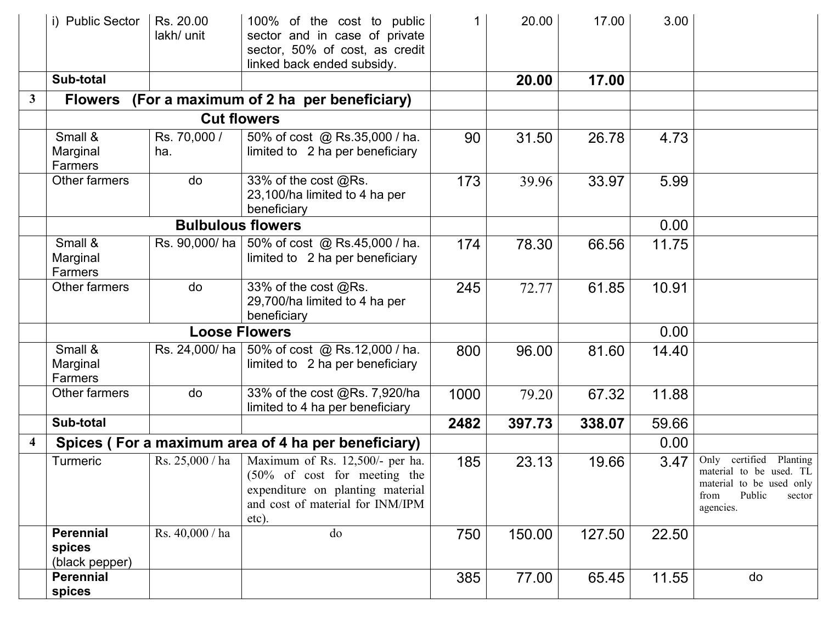|              | i) Public Sector                             | Rs. 20.00<br>lakh/ unit  | 100% of the cost to public<br>sector and in case of private<br>sector, 50% of cost, as credit<br>linked back ended subsidy.                                 |      | 20.00  | 17.00  | 3.00  |                                                                                                                         |
|--------------|----------------------------------------------|--------------------------|-------------------------------------------------------------------------------------------------------------------------------------------------------------|------|--------|--------|-------|-------------------------------------------------------------------------------------------------------------------------|
|              | Sub-total                                    |                          |                                                                                                                                                             |      | 20.00  | 17.00  |       |                                                                                                                         |
| $\mathbf{3}$ | <b>Flowers</b>                               |                          | (For a maximum of 2 ha per beneficiary)                                                                                                                     |      |        |        |       |                                                                                                                         |
|              |                                              |                          | <b>Cut flowers</b>                                                                                                                                          |      |        |        |       |                                                                                                                         |
|              | Small &<br>Marginal<br>Farmers               | Rs. 70,000 /<br>ha.      | 50% of cost @ Rs.35,000 / ha.<br>limited to 2 ha per beneficiary                                                                                            | 90   | 31.50  | 26.78  | 4.73  |                                                                                                                         |
|              | Other farmers                                | do                       | 33% of the cost @Rs.<br>23,100/ha limited to 4 ha per<br>beneficiary                                                                                        | 173  | 39.96  | 33.97  | 5.99  |                                                                                                                         |
|              |                                              | <b>Bulbulous flowers</b> |                                                                                                                                                             |      |        |        | 0.00  |                                                                                                                         |
|              | Small &<br>Marginal<br>Farmers               | Rs. 90,000/ ha           | 50% of cost @ Rs.45,000 / ha.<br>limited to 2 ha per beneficiary                                                                                            | 174  | 78.30  | 66.56  | 11.75 |                                                                                                                         |
|              | Other farmers                                | do                       | 33% of the cost @Rs.<br>29,700/ha limited to 4 ha per<br>beneficiary                                                                                        | 245  | 72.77  | 61.85  | 10.91 |                                                                                                                         |
|              |                                              |                          | <b>Loose Flowers</b>                                                                                                                                        |      |        |        | 0.00  |                                                                                                                         |
|              | Small &<br>Marginal<br>Farmers               | Rs. 24,000/ ha           | 50% of cost @ Rs.12,000 / ha.<br>limited to 2 ha per beneficiary                                                                                            | 800  | 96.00  | 81.60  | 14.40 |                                                                                                                         |
|              | Other farmers                                | do                       | 33% of the cost @Rs. 7,920/ha<br>limited to 4 ha per beneficiary                                                                                            | 1000 | 79.20  | 67.32  | 11.88 |                                                                                                                         |
|              | Sub-total                                    |                          |                                                                                                                                                             | 2482 | 397.73 | 338.07 | 59.66 |                                                                                                                         |
| 4            |                                              |                          | Spices (For a maximum area of 4 ha per beneficiary)                                                                                                         |      |        |        | 0.00  |                                                                                                                         |
|              | Turmeric                                     | Rs. 25,000 / ha          | Maximum of Rs. 12,500/- per ha.<br>$(50\% \text{ of cost}$ for meeting the<br>expenditure on planting material<br>and cost of material for INM/IPM<br>etc). | 185  | 23.13  | 19.66  | 3.47  | Only certified Planting<br>material to be used. TL<br>material to be used only<br>Public<br>from<br>sector<br>agencies. |
|              | <b>Perennial</b><br>spices<br>(black pepper) | Rs. 40,000 / ha          | do                                                                                                                                                          | 750  | 150.00 | 127.50 | 22.50 |                                                                                                                         |
|              | <b>Perennial</b><br>spices                   |                          |                                                                                                                                                             | 385  | 77.00  | 65.45  | 11.55 | do                                                                                                                      |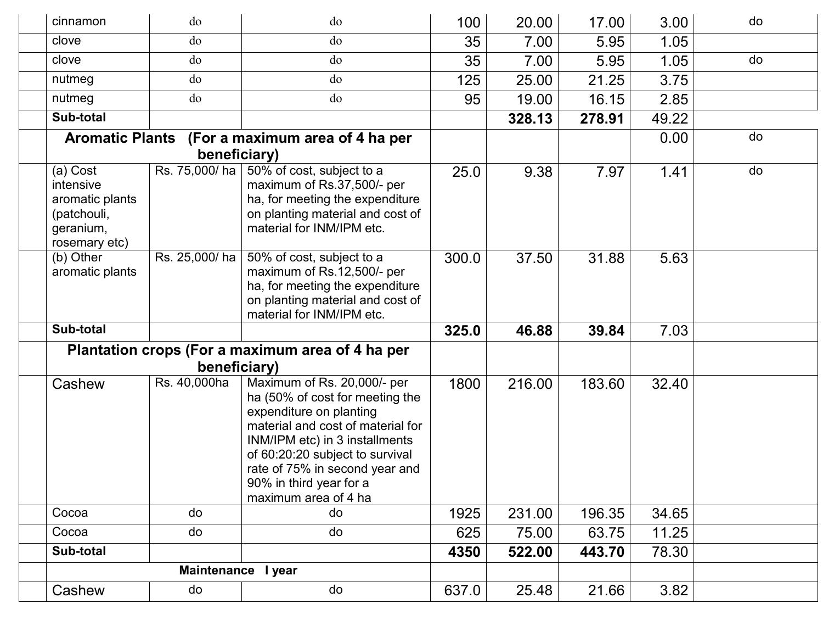| cinnamon                                                                              | do                 | do                                                                                                                                                                                                                                                                                       | 100   | 20.00  | 17.00  | 3.00  | do |
|---------------------------------------------------------------------------------------|--------------------|------------------------------------------------------------------------------------------------------------------------------------------------------------------------------------------------------------------------------------------------------------------------------------------|-------|--------|--------|-------|----|
| clove                                                                                 | do                 | do                                                                                                                                                                                                                                                                                       | 35    | 7.00   | 5.95   | 1.05  |    |
| clove                                                                                 | do                 | do                                                                                                                                                                                                                                                                                       | 35    | 7.00   | 5.95   | 1.05  | do |
| nutmeg                                                                                | do                 | do                                                                                                                                                                                                                                                                                       | 125   | 25.00  | 21.25  | 3.75  |    |
| nutmeg                                                                                | do                 | do                                                                                                                                                                                                                                                                                       | 95    | 19.00  | 16.15  | 2.85  |    |
| Sub-total                                                                             |                    |                                                                                                                                                                                                                                                                                          |       | 328.13 | 278.91 | 49.22 |    |
|                                                                                       | beneficiary)       | Aromatic Plants (For a maximum area of 4 ha per                                                                                                                                                                                                                                          |       |        |        | 0.00  | do |
| (a) Cost<br>intensive<br>aromatic plants<br>(patchouli,<br>geranium,<br>rosemary etc) | Rs. 75,000/ha      | 50% of cost, subject to a<br>maximum of Rs.37,500/- per<br>ha, for meeting the expenditure<br>on planting material and cost of<br>material for INM/IPM etc.                                                                                                                              | 25.0  | 9.38   | 7.97   | 1.41  | do |
| (b) Other<br>aromatic plants                                                          | Rs. 25,000/ha      | 50% of cost, subject to a<br>maximum of Rs.12,500/- per<br>ha, for meeting the expenditure<br>on planting material and cost of<br>material for INM/IPM etc.                                                                                                                              | 300.0 | 37.50  | 31.88  | 5.63  |    |
| Sub-total                                                                             |                    |                                                                                                                                                                                                                                                                                          | 325.0 | 46.88  | 39.84  | 7.03  |    |
|                                                                                       |                    | Plantation crops (For a maximum area of 4 ha per                                                                                                                                                                                                                                         |       |        |        |       |    |
|                                                                                       | beneficiary)       |                                                                                                                                                                                                                                                                                          |       |        |        |       |    |
| Cashew                                                                                | Rs. 40,000ha       | Maximum of Rs. 20,000/- per<br>ha (50% of cost for meeting the<br>expenditure on planting<br>material and cost of material for<br>INM/IPM etc) in 3 installments<br>of 60:20:20 subject to survival<br>rate of 75% in second year and<br>90% in third year for a<br>maximum area of 4 ha | 1800  | 216.00 | 183.60 | 32.40 |    |
| Cocoa                                                                                 | do                 | do                                                                                                                                                                                                                                                                                       | 1925  | 231.00 | 196.35 | 34.65 |    |
| Cocoa                                                                                 | do                 | do                                                                                                                                                                                                                                                                                       | 625   | 75.00  | 63.75  | 11.25 |    |
| Sub-total                                                                             |                    |                                                                                                                                                                                                                                                                                          | 4350  | 522.00 | 443.70 | 78.30 |    |
|                                                                                       | Maintenance I year |                                                                                                                                                                                                                                                                                          |       |        |        |       |    |
| Cashew                                                                                | do                 | do                                                                                                                                                                                                                                                                                       | 637.0 | 25.48  | 21.66  | 3.82  |    |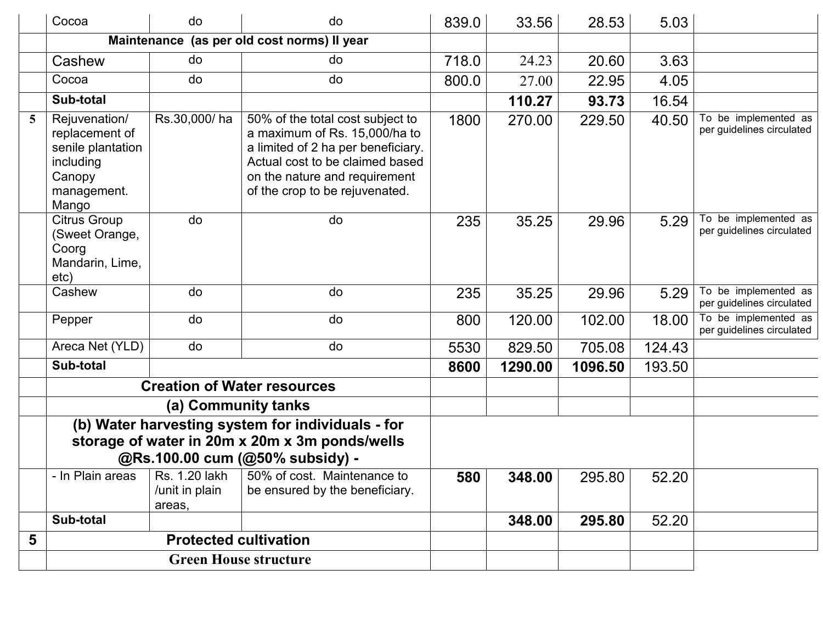|   | Cocoa                                                                                                                                  | do                           | do                                                                                                                                                                                                            | 839.0 | 33.56   | 28.53   | 5.03   |                                                   |
|---|----------------------------------------------------------------------------------------------------------------------------------------|------------------------------|---------------------------------------------------------------------------------------------------------------------------------------------------------------------------------------------------------------|-------|---------|---------|--------|---------------------------------------------------|
|   |                                                                                                                                        |                              | Maintenance (as per old cost norms) Il year                                                                                                                                                                   |       |         |         |        |                                                   |
|   | Cashew                                                                                                                                 | do                           | do                                                                                                                                                                                                            | 718.0 | 24.23   | 20.60   | 3.63   |                                                   |
|   | Cocoa                                                                                                                                  | do                           | do                                                                                                                                                                                                            | 800.0 | 27.00   | 22.95   | 4.05   |                                                   |
|   | Sub-total                                                                                                                              |                              |                                                                                                                                                                                                               |       | 110.27  | 93.73   | 16.54  |                                                   |
| 5 | Rejuvenation/<br>replacement of<br>senile plantation<br>including<br>Canopy<br>management.<br>Mango                                    | Rs.30,000/ha                 | 50% of the total cost subject to<br>a maximum of Rs. 15,000/ha to<br>a limited of 2 ha per beneficiary.<br>Actual cost to be claimed based<br>on the nature and requirement<br>of the crop to be rejuvenated. | 1800  | 270.00  | 229.50  | 40.50  | To be implemented as<br>per guidelines circulated |
|   | <b>Citrus Group</b><br>(Sweet Orange,<br>Coorg<br>Mandarin, Lime,<br>etc)                                                              | do                           | do                                                                                                                                                                                                            | 235   | 35.25   | 29.96   | 5.29   | To be implemented as<br>per guidelines circulated |
|   | Cashew                                                                                                                                 | do                           | do                                                                                                                                                                                                            | 235   | 35.25   | 29.96   | 5.29   | To be implemented as<br>per guidelines circulated |
|   | Pepper                                                                                                                                 | do                           | do                                                                                                                                                                                                            | 800   | 120.00  | 102.00  | 18.00  | To be implemented as<br>per guidelines circulated |
|   | Areca Net (YLD)                                                                                                                        | do                           | do                                                                                                                                                                                                            | 5530  | 829.50  | 705.08  | 124.43 |                                                   |
|   | Sub-total                                                                                                                              |                              |                                                                                                                                                                                                               | 8600  | 1290.00 | 1096.50 | 193.50 |                                                   |
|   |                                                                                                                                        |                              | <b>Creation of Water resources</b>                                                                                                                                                                            |       |         |         |        |                                                   |
|   |                                                                                                                                        | (a) Community tanks          |                                                                                                                                                                                                               |       |         |         |        |                                                   |
|   | (b) Water harvesting system for individuals - for<br>storage of water in 20m x 20m x 3m ponds/wells<br>@Rs.100.00 cum (@50% subsidy) - |                              |                                                                                                                                                                                                               |       |         |         |        |                                                   |
|   | - In Plain areas                                                                                                                       | /unit in plain<br>areas,     | Rs. 1.20 lakh $\vert$ 50% of cost. Maintenance to<br>be ensured by the beneficiary.                                                                                                                           | 580   | 348.00  | 295.80  | 52.20  |                                                   |
|   | Sub-total                                                                                                                              |                              |                                                                                                                                                                                                               |       | 348.00  | 295.80  | 52.20  |                                                   |
| 5 |                                                                                                                                        | <b>Protected cultivation</b> |                                                                                                                                                                                                               |       |         |         |        |                                                   |
|   | <b>Green House structure</b>                                                                                                           |                              |                                                                                                                                                                                                               |       |         |         |        |                                                   |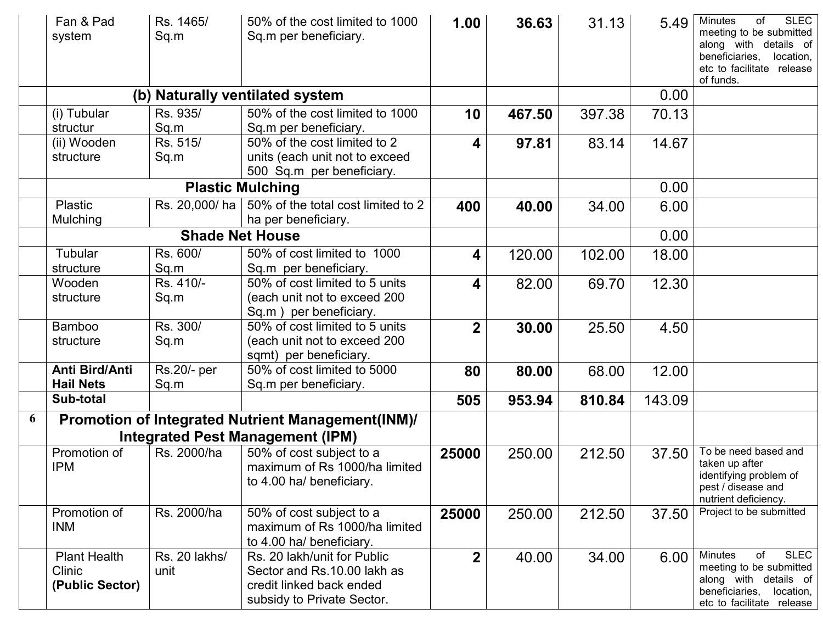|   | Fan & Pad<br>system        | Rs. 1465/<br>Sq.m | 50% of the cost limited to 1000<br>Sq.m per beneficiary.                         | 1.00             | 36.63  | 31.13  | 5.49   | <b>SLEC</b><br><b>Minutes</b><br>of<br>meeting to be submitted<br>along with details of<br>beneficiaries,<br>location,<br>etc to facilitate release<br>of funds. |
|---|----------------------------|-------------------|----------------------------------------------------------------------------------|------------------|--------|--------|--------|------------------------------------------------------------------------------------------------------------------------------------------------------------------|
|   |                            |                   | (b) Naturally ventilated system                                                  |                  |        |        | 0.00   |                                                                                                                                                                  |
|   | (i) Tubular                | Rs. 935/          | 50% of the cost limited to 1000                                                  | 10               | 467.50 | 397.38 | 70.13  |                                                                                                                                                                  |
|   | structur                   | Sq.m              | Sq.m per beneficiary.                                                            |                  |        |        |        |                                                                                                                                                                  |
|   | (ii) Wooden                | Rs. 515/          | 50% of the cost limited to 2                                                     | 4                | 97.81  | 83.14  | 14.67  |                                                                                                                                                                  |
|   | structure                  | Sq.m              | units (each unit not to exceed                                                   |                  |        |        |        |                                                                                                                                                                  |
|   |                            |                   | 500 Sq.m per beneficiary.                                                        |                  |        |        |        |                                                                                                                                                                  |
|   |                            |                   | <b>Plastic Mulching</b>                                                          |                  |        |        | 0.00   |                                                                                                                                                                  |
|   | <b>Plastic</b><br>Mulching |                   | Rs. 20,000/ ha $\vert$ 50% of the total cost limited to 2<br>ha per beneficiary. | 400              | 40.00  | 34.00  | 6.00   |                                                                                                                                                                  |
|   |                            |                   | <b>Shade Net House</b>                                                           |                  |        |        | 0.00   |                                                                                                                                                                  |
|   | Tubular                    | Rs. 600/          | 50% of cost limited to 1000                                                      | 4                | 120.00 | 102.00 | 18.00  |                                                                                                                                                                  |
|   | structure                  | Sq.m              | Sq.m per beneficiary.                                                            |                  |        |        |        |                                                                                                                                                                  |
|   | Wooden                     | Rs. 410/-         | 50% of cost limited to 5 units                                                   | 4                | 82.00  | 69.70  | 12.30  |                                                                                                                                                                  |
|   | structure                  | Sq.m              | (each unit not to exceed 200                                                     |                  |        |        |        |                                                                                                                                                                  |
|   |                            |                   | Sq.m) per beneficiary.                                                           |                  |        |        |        |                                                                                                                                                                  |
|   | <b>Bamboo</b>              | Rs. 300/          | 50% of cost limited to 5 units                                                   | $\overline{2}$   | 30.00  | 25.50  | 4.50   |                                                                                                                                                                  |
|   | structure                  | Sq.m              | (each unit not to exceed 200                                                     |                  |        |        |        |                                                                                                                                                                  |
|   | Anti Bird/Anti             | Rs.20/- per       | sqmt) per beneficiary.<br>50% of cost limited to 5000                            |                  |        |        |        |                                                                                                                                                                  |
|   | <b>Hail Nets</b>           | Sq.m              | Sq.m per beneficiary.                                                            | 80               | 80.00  | 68.00  | 12.00  |                                                                                                                                                                  |
|   | Sub-total                  |                   |                                                                                  | 505              | 953.94 | 810.84 | 143.09 |                                                                                                                                                                  |
|   |                            |                   |                                                                                  |                  |        |        |        |                                                                                                                                                                  |
| 6 |                            |                   | Promotion of Integrated Nutrient Management(INM)/                                |                  |        |        |        |                                                                                                                                                                  |
|   |                            |                   | <b>Integrated Pest Management (IPM)</b>                                          |                  |        |        |        |                                                                                                                                                                  |
|   | Promotion of               | Rs. 2000/ha       | 50% of cost subject to a                                                         | 25000            | 250.00 | 212.50 | 37.50  | To be need based and<br>taken up after                                                                                                                           |
|   | <b>IPM</b>                 |                   | maximum of Rs 1000/ha limited                                                    |                  |        |        |        | identifying problem of                                                                                                                                           |
|   |                            |                   | to 4.00 ha/ beneficiary.                                                         |                  |        |        |        | pest / disease and                                                                                                                                               |
|   |                            |                   |                                                                                  |                  |        |        |        | nutrient deficiency.<br>Project to be submitted                                                                                                                  |
|   | Promotion of<br><b>INM</b> | Rs. 2000/ha       | 50% of cost subject to a<br>maximum of Rs 1000/ha limited                        | 25000            | 250.00 | 212.50 | 37.50  |                                                                                                                                                                  |
|   |                            |                   | to 4.00 ha/ beneficiary.                                                         |                  |        |        |        |                                                                                                                                                                  |
|   | <b>Plant Health</b>        | Rs. 20 lakhs/     | Rs. 20 lakh/unit for Public                                                      | $\boldsymbol{2}$ | 40.00  | 34.00  | 6.00   | <b>SLEC</b><br><b>Minutes</b><br>of                                                                                                                              |
|   | Clinic                     | unit              | Sector and Rs.10.00 lakh as                                                      |                  |        |        |        | meeting to be submitted                                                                                                                                          |
|   | (Public Sector)            |                   | credit linked back ended                                                         |                  |        |        |        | along with details of                                                                                                                                            |
|   |                            |                   | subsidy to Private Sector.                                                       |                  |        |        |        | beneficiaries,<br>location,<br>etc to facilitate release                                                                                                         |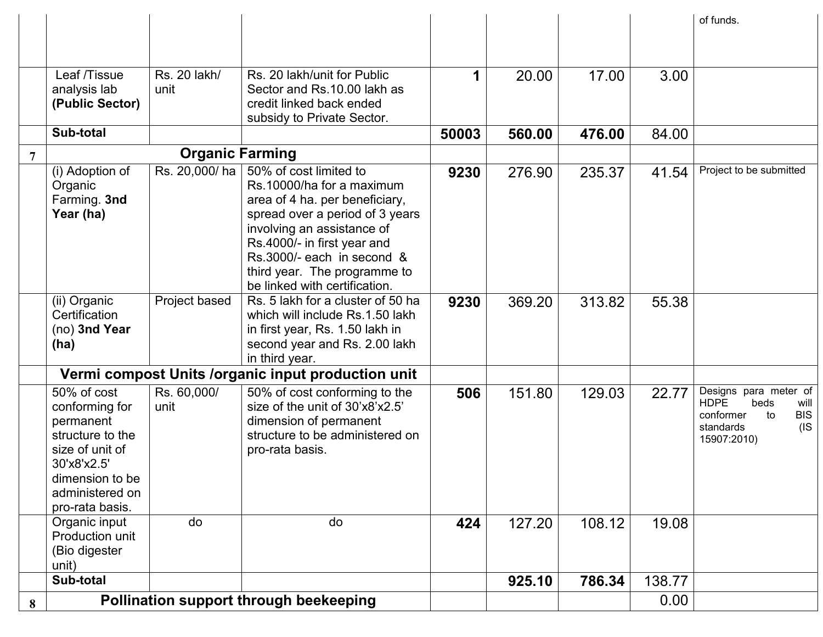|   |                                |                                   |                                                                    |       |        |        |        | of funds.                                            |
|---|--------------------------------|-----------------------------------|--------------------------------------------------------------------|-------|--------|--------|--------|------------------------------------------------------|
|   |                                |                                   |                                                                    |       |        |        |        |                                                      |
|   |                                |                                   |                                                                    |       |        |        |        |                                                      |
|   | Leaf /Tissue                   | $\overline{\text{Rs}}$ . 20 lakh/ | Rs. 20 lakh/unit for Public                                        |       | 20.00  | 17.00  | 3.00   |                                                      |
|   | analysis lab                   | unit                              | Sector and Rs.10.00 lakh as                                        |       |        |        |        |                                                      |
|   | (Public Sector)                |                                   | credit linked back ended                                           |       |        |        |        |                                                      |
|   | Sub-total                      |                                   | subsidy to Private Sector.                                         | 50003 |        |        |        |                                                      |
|   |                                |                                   |                                                                    |       | 560.00 | 476.00 | 84.00  |                                                      |
|   |                                | <b>Organic Farming</b>            |                                                                    |       |        |        |        |                                                      |
|   | (i) Adoption of                | Rs. 20,000/ha                     | 50% of cost limited to                                             | 9230  | 276.90 | 235.37 | 41.54  | Project to be submitted                              |
|   | Organic                        |                                   | Rs.10000/ha for a maximum                                          |       |        |        |        |                                                      |
|   | Farming. 3nd<br>Year (ha)      |                                   | area of 4 ha. per beneficiary,<br>spread over a period of 3 years  |       |        |        |        |                                                      |
|   |                                |                                   | involving an assistance of                                         |       |        |        |        |                                                      |
|   |                                |                                   | Rs.4000/- in first year and                                        |       |        |        |        |                                                      |
|   |                                |                                   | Rs.3000/- each in second &                                         |       |        |        |        |                                                      |
|   |                                |                                   | third year. The programme to                                       |       |        |        |        |                                                      |
|   |                                |                                   | be linked with certification.                                      |       |        |        |        |                                                      |
|   | (ii) Organic                   | Project based                     | Rs. 5 lakh for a cluster of 50 ha                                  | 9230  | 369.20 | 313.82 | 55.38  |                                                      |
|   | Certification<br>(no) 3nd Year |                                   | which will include Rs.1.50 lakh<br>in first year, Rs. 1.50 lakh in |       |        |        |        |                                                      |
|   | (ha)                           |                                   | second year and Rs. 2.00 lakh                                      |       |        |        |        |                                                      |
|   |                                |                                   | in third year.                                                     |       |        |        |        |                                                      |
|   |                                |                                   | Vermi compost Units / organic input production unit                |       |        |        |        |                                                      |
|   | 50% of cost                    | Rs. 60,000/                       | 50% of cost conforming to the                                      | 506   | 151.80 | 129.03 | 22.77  | Designs para meter of                                |
|   | conforming for                 | unit                              | size of the unit of 30'x8'x2.5'                                    |       |        |        |        | <b>HDPE</b><br>beds<br>will                          |
|   | permanent                      |                                   | dimension of permanent                                             |       |        |        |        | <b>BIS</b><br>to<br>conformer<br>$($ IS<br>standards |
|   | structure to the               |                                   | structure to be administered on                                    |       |        |        |        | 15907:2010)                                          |
|   | size of unit of                |                                   | pro-rata basis.                                                    |       |        |        |        |                                                      |
|   | 30'x8'x2.5'<br>dimension to be |                                   |                                                                    |       |        |        |        |                                                      |
|   | administered on                |                                   |                                                                    |       |        |        |        |                                                      |
|   | pro-rata basis.                |                                   |                                                                    |       |        |        |        |                                                      |
|   | Organic input                  | do                                | do                                                                 | 424   | 127.20 | 108.12 | 19.08  |                                                      |
|   | Production unit                |                                   |                                                                    |       |        |        |        |                                                      |
|   | (Bio digester                  |                                   |                                                                    |       |        |        |        |                                                      |
|   | unit)                          |                                   |                                                                    |       |        |        |        |                                                      |
|   | Sub-total                      |                                   |                                                                    |       | 925.10 | 786.34 | 138.77 |                                                      |
| 8 |                                |                                   | Pollination support through beekeeping                             |       |        |        | 0.00   |                                                      |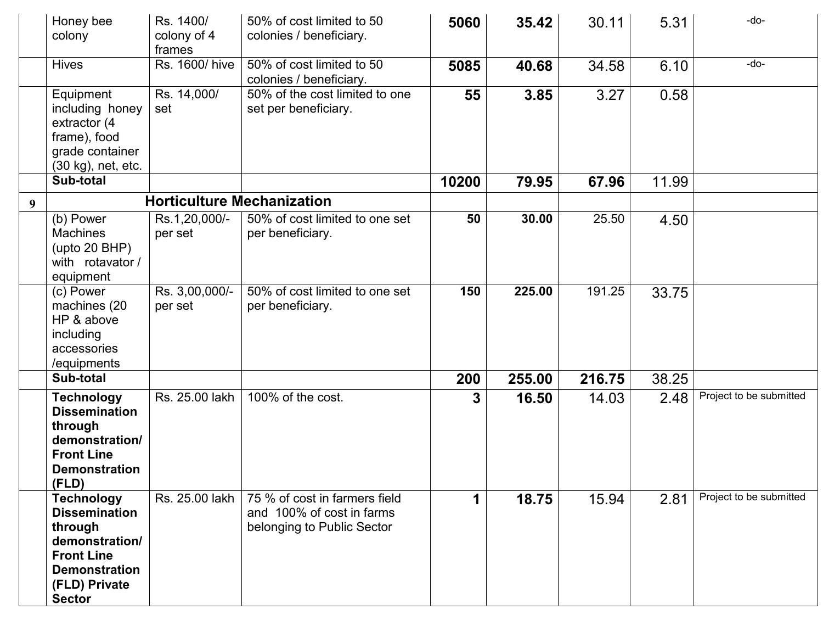|   | Honey bee<br>colony                                                                                                                                   | Rs. 1400/<br>colony of 4<br>frames | 50% of cost limited to 50<br>colonies / beneficiary.                                     | 5060  | 35.42  | 30.11  | 5.31  | -do-                    |
|---|-------------------------------------------------------------------------------------------------------------------------------------------------------|------------------------------------|------------------------------------------------------------------------------------------|-------|--------|--------|-------|-------------------------|
|   | <b>Hives</b>                                                                                                                                          | Rs. 1600/ hive                     | 50% of cost limited to 50<br>colonies / beneficiary.                                     | 5085  | 40.68  | 34.58  | 6.10  | $-do-$                  |
|   | Equipment<br>including honey<br>extractor (4<br>frame), food<br>grade container<br>(30 kg), net, etc.                                                 | Rs. 14,000/<br>set                 | 50% of the cost limited to one<br>set per beneficiary.                                   | 55    | 3.85   | 3.27   | 0.58  |                         |
|   | Sub-total                                                                                                                                             |                                    |                                                                                          | 10200 | 79.95  | 67.96  | 11.99 |                         |
| 9 |                                                                                                                                                       |                                    | <b>Horticulture Mechanization</b>                                                        |       |        |        |       |                         |
|   | (b) Power<br><b>Machines</b><br>(upto 20 BHP)<br>with rotavator /<br>equipment                                                                        | Rs.1,20,000/-<br>per set           | 50% of cost limited to one set<br>per beneficiary.                                       | 50    | 30.00  | 25.50  | 4.50  |                         |
|   | (c) Power<br>machines (20<br>HP & above<br>including<br>accessories<br>/equipments                                                                    | Rs. 3,00,000/-<br>per set          | 50% of cost limited to one set<br>per beneficiary.                                       | 150   | 225.00 | 191.25 | 33.75 |                         |
|   | Sub-total                                                                                                                                             |                                    |                                                                                          | 200   | 255.00 | 216.75 | 38.25 |                         |
|   | <b>Technology</b><br><b>Dissemination</b><br>through<br>demonstration/<br><b>Front Line</b><br><b>Demonstration</b><br>(FLD)                          | Rs. 25.00 lakh                     | 100% of the cost.                                                                        | 3     | 16.50  | 14.03  | 2.48  | Project to be submitted |
|   | <b>Technology</b><br><b>Dissemination</b><br>through<br>demonstration/<br><b>Front Line</b><br><b>Demonstration</b><br>(FLD) Private<br><b>Sector</b> | Rs. 25.00 lakh                     | 75 % of cost in farmers field<br>and 100% of cost in farms<br>belonging to Public Sector | 1     | 18.75  | 15.94  | 2.81  | Project to be submitted |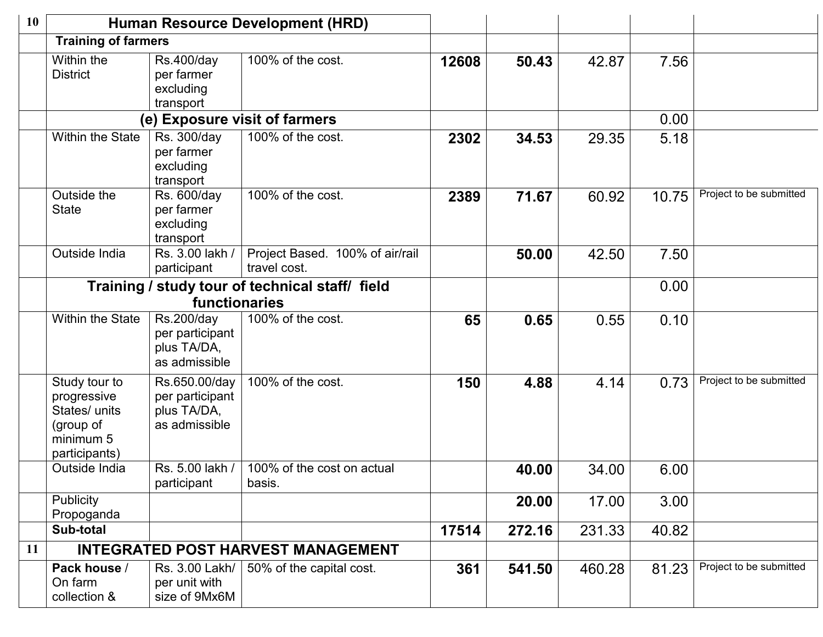| 10 | <b>Human Resource Development (HRD)</b>                                                  |                                                                          |                                                 |       |        |        |       |                         |
|----|------------------------------------------------------------------------------------------|--------------------------------------------------------------------------|-------------------------------------------------|-------|--------|--------|-------|-------------------------|
|    | <b>Training of farmers</b>                                                               |                                                                          |                                                 |       |        |        |       |                         |
|    | Within the<br><b>District</b>                                                            | <b>Rs.400/day</b><br>per farmer<br>excluding<br>transport                | 100% of the cost.                               | 12608 | 50.43  | 42.87  | 7.56  |                         |
|    | (e) Exposure visit of farmers                                                            |                                                                          |                                                 |       |        |        | 0.00  |                         |
|    | <b>Within the State</b>                                                                  | $\overline{\text{Rs}}$ . 300/day<br>per farmer<br>excluding<br>transport | 100% of the cost.                               | 2302  | 34.53  | 29.35  | 5.18  |                         |
|    | Outside the<br><b>State</b>                                                              | Rs. 600/day<br>per farmer<br>excluding<br>transport                      | 100% of the cost.                               | 2389  | 71.67  | 60.92  | 10.75 | Project to be submitted |
|    | Outside India                                                                            | Rs. 3.00 lakh /<br>participant                                           | Project Based. 100% of air/rail<br>travel cost. |       | 50.00  | 42.50  | 7.50  |                         |
|    | Training / study tour of technical staff/ field                                          |                                                                          |                                                 |       |        |        | 0.00  |                         |
|    |                                                                                          | functionaries                                                            |                                                 |       |        |        |       |                         |
|    | <b>Within the State</b>                                                                  | Rs.200/day<br>per participant<br>plus TA/DA,<br>as admissible            | 100% of the cost.                               | 65    | 0.65   | 0.55   | 0.10  |                         |
|    | Study tour to<br>progressive<br>States/ units<br>(group of<br>minimum 5<br>participants) | Rs.650.00/day<br>per participant<br>plus TA/DA,<br>as admissible         | 100% of the cost.                               | 150   | 4.88   | 4.14   | 0.73  | Project to be submitted |
|    | Outside India                                                                            | Rs. 5.00 lakh /<br>participant                                           | 100% of the cost on actual<br>basis.            |       | 40.00  | 34.00  | 6.00  |                         |
|    | Publicity<br>Propoganda                                                                  |                                                                          |                                                 |       | 20.00  | 17.00  | 3.00  |                         |
|    | Sub-total                                                                                |                                                                          |                                                 | 17514 | 272.16 | 231.33 | 40.82 |                         |
| 11 |                                                                                          |                                                                          | <b>INTEGRATED POST HARVEST MANAGEMENT</b>       |       |        |        |       |                         |
|    | Pack house /<br>On farm<br>collection &                                                  | Rs. 3.00 Lakh/<br>per unit with<br>size of 9Mx6M                         | 50% of the capital cost.                        | 361   | 541.50 | 460.28 | 81.23 | Project to be submitted |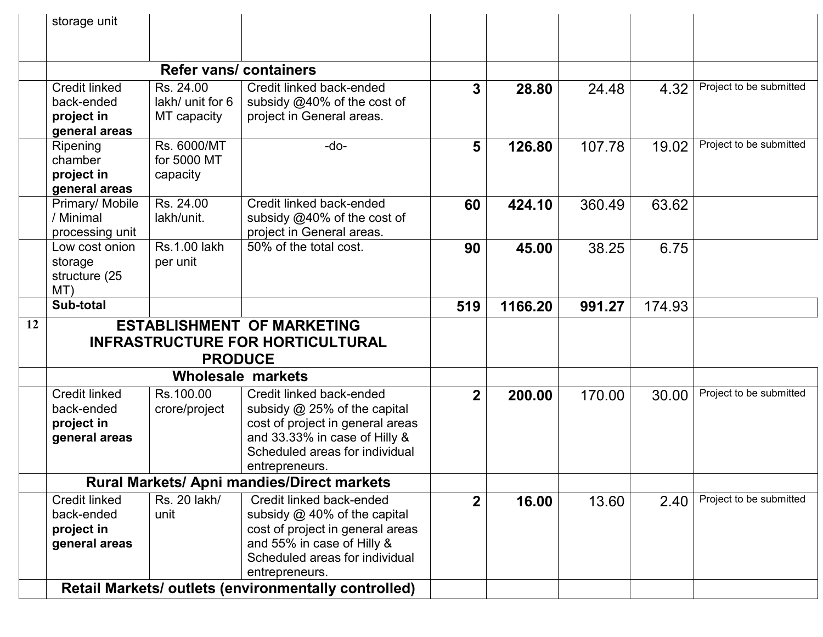|    | storage unit                                                      |                                              |                                                                                                                                                                                   |              |         |        |        |                         |
|----|-------------------------------------------------------------------|----------------------------------------------|-----------------------------------------------------------------------------------------------------------------------------------------------------------------------------------|--------------|---------|--------|--------|-------------------------|
|    |                                                                   |                                              |                                                                                                                                                                                   |              |         |        |        |                         |
|    |                                                                   | <b>Refer vans/ containers</b>                |                                                                                                                                                                                   |              |         |        |        |                         |
|    | <b>Credit linked</b><br>back-ended<br>project in<br>general areas | Rs. 24.00<br>lakh/ unit for 6<br>MT capacity | Credit linked back-ended<br>subsidy @40% of the cost of<br>project in General areas.                                                                                              | 3            | 28.80   | 24.48  | 4.32   | Project to be submitted |
|    | Ripening<br>chamber<br>project in<br>general areas                | Rs. 6000/MT<br>for 5000 MT<br>capacity       | $-do-$                                                                                                                                                                            | 5            | 126.80  | 107.78 | 19.02  | Project to be submitted |
|    | Primary/ Mobile<br>/ Minimal<br>processing unit                   | Rs. 24.00<br>lakh/unit.                      | Credit linked back-ended<br>subsidy @40% of the cost of<br>project in General areas.                                                                                              | 60           | 424.10  | 360.49 | 63.62  |                         |
|    | Low cost onion<br>storage<br>structure (25<br>MT)                 | <b>Rs.1.00 lakh</b><br>per unit              | 50% of the total cost.                                                                                                                                                            | 90           | 45.00   | 38.25  | 6.75   |                         |
|    | Sub-total                                                         |                                              |                                                                                                                                                                                   | 519          | 1166.20 | 991.27 | 174.93 |                         |
| 12 | <b>ESTABLISHMENT OF MARKETING</b>                                 |                                              |                                                                                                                                                                                   |              |         |        |        |                         |
|    | <b>INFRASTRUCTURE FOR HORTICULTURAL</b><br><b>PRODUCE</b>         |                                              |                                                                                                                                                                                   |              |         |        |        |                         |
|    |                                                                   |                                              |                                                                                                                                                                                   |              |         |        |        |                         |
|    |                                                                   |                                              | <b>Wholesale markets</b>                                                                                                                                                          |              |         |        |        |                         |
|    | <b>Credit linked</b><br>back-ended<br>project in<br>general areas | Rs.100.00<br>crore/project                   | Credit linked back-ended<br>subsidy @ 25% of the capital<br>cost of project in general areas<br>and 33.33% in case of Hilly &<br>Scheduled areas for individual<br>entrepreneurs. | $\mathbf{2}$ | 200.00  | 170.00 | 30.00  | Project to be submitted |
|    | Rural Markets/ Apni mandies/Direct markets                        |                                              |                                                                                                                                                                                   |              |         |        |        |                         |
|    | <b>Credit linked</b><br>back-ended<br>project in<br>general areas | Rs. 20 lakh/<br>unit                         | Credit linked back-ended<br>subsidy $@$ 40% of the capital<br>cost of project in general areas<br>and 55% in case of Hilly &<br>Scheduled areas for individual<br>entrepreneurs.  | $\mathbf 2$  | 16.00   | 13.60  | 2.40   | Project to be submitted |
|    | Retail Markets/ outlets (environmentally controlled)              |                                              |                                                                                                                                                                                   |              |         |        |        |                         |